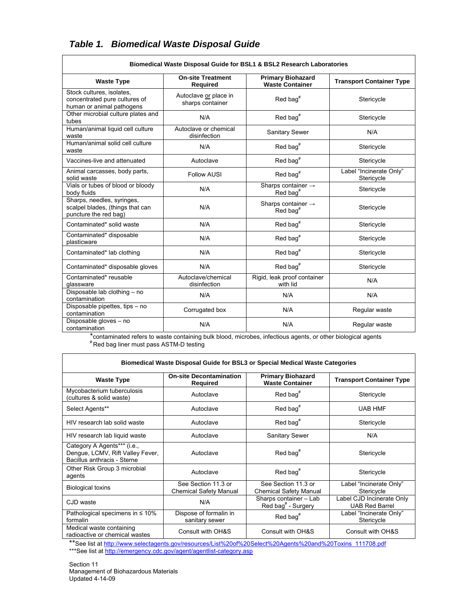| Biomedical Waste Disposal Guide for BSL1 & BSL2 Research Laboratories                   |                                             |                                                          |                                       |  |  |  |  |
|-----------------------------------------------------------------------------------------|---------------------------------------------|----------------------------------------------------------|---------------------------------------|--|--|--|--|
| <b>Waste Type</b>                                                                       | <b>On-site Treatment</b><br><b>Required</b> | <b>Primary Biohazard</b><br><b>Waste Container</b>       |                                       |  |  |  |  |
| Stock cultures, isolates,<br>concentrated pure cultures of<br>human or animal pathogens | Autoclave or place in<br>sharps container   | Red bag <sup>#</sup>                                     | Stericycle                            |  |  |  |  |
| Other microbial culture plates and<br>tubes                                             | N/A                                         | Red bag $#$                                              |                                       |  |  |  |  |
| Human/animal liquid cell culture<br>waste                                               | Autoclave or chemical<br>disinfection       | Sanitary Sewer                                           |                                       |  |  |  |  |
| Human/animal solid cell culture<br>waste                                                | N/A                                         | $Red$ bag <sup>#</sup>                                   | Stericycle                            |  |  |  |  |
| Vaccines-live and attenuated                                                            | Autoclave                                   | $Red$ bag <sup>#</sup>                                   | Stericycle                            |  |  |  |  |
| Animal carcasses, body parts,<br>solid waste                                            | <b>Follow AUSI</b>                          | $Red$ bag <sup>#</sup>                                   | Label "Incinerate Only"<br>Stericycle |  |  |  |  |
| Vials or tubes of blood or bloody<br>body fluids                                        | N/A                                         | Sharps container $\rightarrow$<br>$Red$ bag <sup>#</sup> | Stericycle                            |  |  |  |  |
| Sharps, needles, syringes,<br>scalpel blades, (things that can<br>puncture the red bag) | N/A                                         | Sharps container $\rightarrow$<br>Red bag <sup>#</sup>   | Stericycle                            |  |  |  |  |
| Contaminated* solid waste                                                               | N/A                                         | Red bag <sup>#</sup>                                     | Stericycle                            |  |  |  |  |
| Contaminated* disposable<br>plasticware                                                 | N/A                                         | Red bag <sup>#</sup>                                     | Stericycle                            |  |  |  |  |
| Contaminated* lab clothing                                                              | N/A                                         | $Red$ bag <sup>#</sup>                                   | Stericycle                            |  |  |  |  |
| Contaminated* disposable gloves                                                         | N/A                                         | Red bag <sup>#</sup>                                     | Stericycle                            |  |  |  |  |
| Contaminated* reusable<br>glassware                                                     | Autoclave/chemical<br>disinfection          | Rigid, leak proof container<br>with lid                  | N/A                                   |  |  |  |  |
| Disposable lab clothing - no<br>contamination                                           | N/A                                         | N/A                                                      | N/A                                   |  |  |  |  |
| Disposable pipettes, tips - no<br>contamination                                         | Corrugated box                              | N/A                                                      | Regular waste                         |  |  |  |  |
| Disposable gloves - no<br>contamination                                                 | N/A                                         | N/A                                                      | Regular waste                         |  |  |  |  |

## *Table 1. Biomedical Waste Disposal Guide*

\*contaminated refers to waste containing bulk blood, microbes, infectious agents, or other biological agents # Red bag liner must pass ASTM-D testing

| <b>Biomedical Waste Disposal Guide for BSL3 or Special Medical Waste Categories</b>            |                                                      |                                                          |                                                    |  |  |  |  |
|------------------------------------------------------------------------------------------------|------------------------------------------------------|----------------------------------------------------------|----------------------------------------------------|--|--|--|--|
| <b>Waste Type</b>                                                                              | <b>On-site Decontamination</b><br>Required           | <b>Primary Biohazard</b><br><b>Waste Container</b>       | <b>Transport Container Type</b>                    |  |  |  |  |
| Mycobacterium tuberculosis<br>(cultures & solid waste)                                         | Autoclave                                            | $Red$ bag <sup>#</sup>                                   | Stericycle                                         |  |  |  |  |
| Select Agents**                                                                                | Autoclave                                            | $Red$ bag <sup>#</sup>                                   | <b>UAB HMF</b>                                     |  |  |  |  |
| HIV research lab solid waste                                                                   | Autoclave                                            | Red bag <sup>#</sup>                                     | Stericycle                                         |  |  |  |  |
| HIV research lab liquid waste                                                                  | Autoclave                                            | Sanitary Sewer                                           | N/A                                                |  |  |  |  |
| Category A Agents*** (i.e.,<br>Dengue, LCMV, Rift Valley Fever,<br>Bacillus anthracis - Sterne | Autoclave                                            | Red bag <sup>#</sup>                                     | Stericycle                                         |  |  |  |  |
| Other Risk Group 3 microbial<br>agents                                                         | Autoclave                                            | $Red$ bag <sup>#</sup>                                   | Stericycle                                         |  |  |  |  |
| <b>Biological toxins</b>                                                                       | See Section 11.3 or<br><b>Chemical Safety Manual</b> | See Section 11.3 or<br><b>Chemical Safety Manual</b>     | Label "Incinerate Only"<br>Stericycle              |  |  |  |  |
| C.ID waste                                                                                     | N/A                                                  | Sharps container - Lab<br>Red bag <sup>#</sup> - Surgery | Label CJD Incinerate Only<br><b>UAB Red Barrel</b> |  |  |  |  |
| Pathological specimens in $\leq 10\%$<br>formalin                                              | Dispose of formalin in<br>sanitary sewer             | $Red$ bag <sup>#</sup>                                   | Label "Incinerate Only"<br>Stericycle              |  |  |  |  |
| Medical waste containing<br>radioactive or chemical wastes                                     | Consult with OH&S                                    | Consult with OH&S                                        | Consult with OH&S                                  |  |  |  |  |

\*\*See list at http://www.selectagents.gov/resources/List%20of%20Select%20Agents%20and%20Toxins\_111708.pdf

\*\*\*See list at http://emergency.cdc.gov/agent/agentlist-category.asp